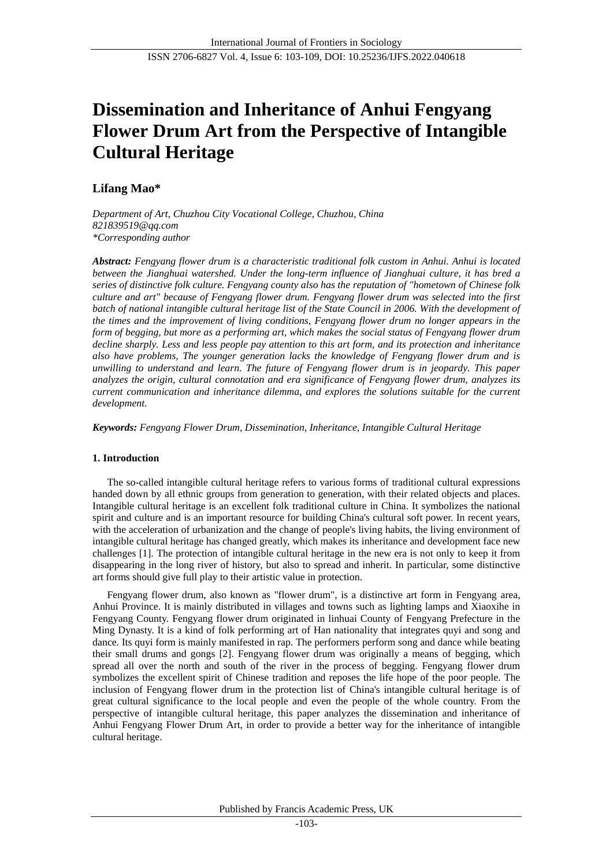# **Dissemination and Inheritance of Anhui Fengyang Flower Drum Art from the Perspective of Intangible Cultural Heritage**

# **Lifang Mao\***

*Department of Art, Chuzhou City Vocational College, Chuzhou, China 821839519@qq.com \*Corresponding author*

*Abstract: Fengyang flower drum is a characteristic traditional folk custom in Anhui. Anhui is located between the Jianghuai watershed. Under the long-term influence of Jianghuai culture, it has bred a series of distinctive folk culture. Fengyang county also has the reputation of "hometown of Chinese folk culture and art" because of Fengyang flower drum. Fengyang flower drum was selected into the first batch of national intangible cultural heritage list of the State Council in 2006. With the development of the times and the improvement of living conditions, Fengyang flower drum no longer appears in the form of begging, but more as a performing art, which makes the social status of Fengyang flower drum decline sharply. Less and less people pay attention to this art form, and its protection and inheritance also have problems, The younger generation lacks the knowledge of Fengyang flower drum and is unwilling to understand and learn. The future of Fengyang flower drum is in jeopardy. This paper analyzes the origin, cultural connotation and era significance of Fengyang flower drum, analyzes its current communication and inheritance dilemma, and explores the solutions suitable for the current development.*

*Keywords: Fengyang Flower Drum, Dissemination, Inheritance, Intangible Cultural Heritage*

# **1. Introduction**

The so-called intangible cultural heritage refers to various forms of traditional cultural expressions handed down by all ethnic groups from generation to generation, with their related objects and places. Intangible cultural heritage is an excellent folk traditional culture in China. It symbolizes the national spirit and culture and is an important resource for building China's cultural soft power. In recent years, with the acceleration of urbanization and the change of people's living habits, the living environment of intangible cultural heritage has changed greatly, which makes its inheritance and development face new challenges [1]. The protection of intangible cultural heritage in the new era is not only to keep it from disappearing in the long river of history, but also to spread and inherit. In particular, some distinctive art forms should give full play to their artistic value in protection.

Fengyang flower drum, also known as "flower drum", is a distinctive art form in Fengyang area, Anhui Province. It is mainly distributed in villages and towns such as lighting lamps and Xiaoxihe in Fengyang County. Fengyang flower drum originated in linhuai County of Fengyang Prefecture in the Ming Dynasty. It is a kind of folk performing art of Han nationality that integrates quyi and song and dance. Its quyi form is mainly manifested in rap. The performers perform song and dance while beating their small drums and gongs [2]. Fengyang flower drum was originally a means of begging, which spread all over the north and south of the river in the process of begging. Fengyang flower drum symbolizes the excellent spirit of Chinese tradition and reposes the life hope of the poor people. The inclusion of Fengyang flower drum in the protection list of China's intangible cultural heritage is of great cultural significance to the local people and even the people of the whole country. From the perspective of intangible cultural heritage, this paper analyzes the dissemination and inheritance of Anhui Fengyang Flower Drum Art, in order to provide a better way for the inheritance of intangible cultural heritage.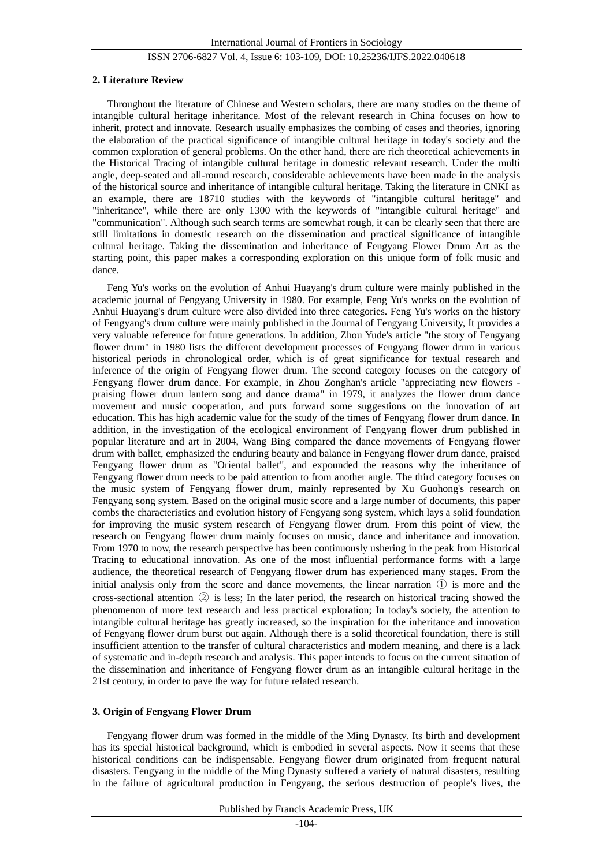#### **2. Literature Review**

Throughout the literature of Chinese and Western scholars, there are many studies on the theme of intangible cultural heritage inheritance. Most of the relevant research in China focuses on how to inherit, protect and innovate. Research usually emphasizes the combing of cases and theories, ignoring the elaboration of the practical significance of intangible cultural heritage in today's society and the common exploration of general problems. On the other hand, there are rich theoretical achievements in the Historical Tracing of intangible cultural heritage in domestic relevant research. Under the multi angle, deep-seated and all-round research, considerable achievements have been made in the analysis of the historical source and inheritance of intangible cultural heritage. Taking the literature in CNKI as an example, there are 18710 studies with the keywords of "intangible cultural heritage" and "inheritance", while there are only 1300 with the keywords of "intangible cultural heritage" and "communication". Although such search terms are somewhat rough, it can be clearly seen that there are still limitations in domestic research on the dissemination and practical significance of intangible cultural heritage. Taking the dissemination and inheritance of Fengyang Flower Drum Art as the starting point, this paper makes a corresponding exploration on this unique form of folk music and dance.

Feng Yu's works on the evolution of Anhui Huayang's drum culture were mainly published in the academic journal of Fengyang University in 1980. For example, Feng Yu's works on the evolution of Anhui Huayang's drum culture were also divided into three categories. Feng Yu's works on the history of Fengyang's drum culture were mainly published in the Journal of Fengyang University, It provides a very valuable reference for future generations. In addition, Zhou Yude's article "the story of Fengyang flower drum" in 1980 lists the different development processes of Fengyang flower drum in various historical periods in chronological order, which is of great significance for textual research and inference of the origin of Fengyang flower drum. The second category focuses on the category of Fengyang flower drum dance. For example, in Zhou Zonghan's article "appreciating new flowers praising flower drum lantern song and dance drama" in 1979, it analyzes the flower drum dance movement and music cooperation, and puts forward some suggestions on the innovation of art education. This has high academic value for the study of the times of Fengyang flower drum dance. In addition, in the investigation of the ecological environment of Fengyang flower drum published in popular literature and art in 2004, Wang Bing compared the dance movements of Fengyang flower drum with ballet, emphasized the enduring beauty and balance in Fengyang flower drum dance, praised Fengyang flower drum as "Oriental ballet", and expounded the reasons why the inheritance of Fengyang flower drum needs to be paid attention to from another angle. The third category focuses on the music system of Fengyang flower drum, mainly represented by Xu Guohong's research on Fengyang song system. Based on the original music score and a large number of documents, this paper combs the characteristics and evolution history of Fengyang song system, which lays a solid foundation for improving the music system research of Fengyang flower drum. From this point of view, the research on Fengyang flower drum mainly focuses on music, dance and inheritance and innovation. From 1970 to now, the research perspective has been continuously ushering in the peak from Historical Tracing to educational innovation. As one of the most influential performance forms with a large audience, the theoretical research of Fengyang flower drum has experienced many stages. From the initial analysis only from the score and dance movements, the linear narration  $(1)$  is more and the cross-sectional attention ② is less; In the later period, the research on historical tracing showed the phenomenon of more text research and less practical exploration; In today's society, the attention to intangible cultural heritage has greatly increased, so the inspiration for the inheritance and innovation of Fengyang flower drum burst out again. Although there is a solid theoretical foundation, there is still insufficient attention to the transfer of cultural characteristics and modern meaning, and there is a lack of systematic and in-depth research and analysis. This paper intends to focus on the current situation of the dissemination and inheritance of Fengyang flower drum as an intangible cultural heritage in the 21st century, in order to pave the way for future related research.

# **3. Origin of Fengyang Flower Drum**

Fengyang flower drum was formed in the middle of the Ming Dynasty. Its birth and development has its special historical background, which is embodied in several aspects. Now it seems that these historical conditions can be indispensable. Fengyang flower drum originated from frequent natural disasters. Fengyang in the middle of the Ming Dynasty suffered a variety of natural disasters, resulting in the failure of agricultural production in Fengyang, the serious destruction of people's lives, the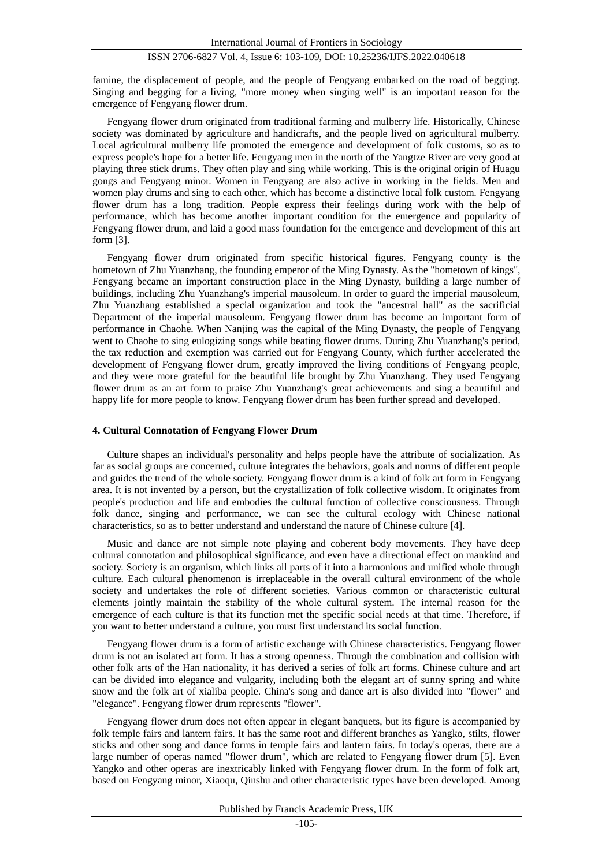famine, the displacement of people, and the people of Fengyang embarked on the road of begging. Singing and begging for a living, "more money when singing well" is an important reason for the emergence of Fengyang flower drum.

Fengyang flower drum originated from traditional farming and mulberry life. Historically, Chinese society was dominated by agriculture and handicrafts, and the people lived on agricultural mulberry. Local agricultural mulberry life promoted the emergence and development of folk customs, so as to express people's hope for a better life. Fengyang men in the north of the Yangtze River are very good at playing three stick drums. They often play and sing while working. This is the original origin of Huagu gongs and Fengyang minor. Women in Fengyang are also active in working in the fields. Men and women play drums and sing to each other, which has become a distinctive local folk custom. Fengyang flower drum has a long tradition. People express their feelings during work with the help of performance, which has become another important condition for the emergence and popularity of Fengyang flower drum, and laid a good mass foundation for the emergence and development of this art form [3].

Fengyang flower drum originated from specific historical figures. Fengyang county is the hometown of Zhu Yuanzhang, the founding emperor of the Ming Dynasty. As the "hometown of kings", Fengyang became an important construction place in the Ming Dynasty, building a large number of buildings, including Zhu Yuanzhang's imperial mausoleum. In order to guard the imperial mausoleum, Zhu Yuanzhang established a special organization and took the "ancestral hall" as the sacrificial Department of the imperial mausoleum. Fengyang flower drum has become an important form of performance in Chaohe. When Nanjing was the capital of the Ming Dynasty, the people of Fengyang went to Chaohe to sing eulogizing songs while beating flower drums. During Zhu Yuanzhang's period, the tax reduction and exemption was carried out for Fengyang County, which further accelerated the development of Fengyang flower drum, greatly improved the living conditions of Fengyang people, and they were more grateful for the beautiful life brought by Zhu Yuanzhang. They used Fengyang flower drum as an art form to praise Zhu Yuanzhang's great achievements and sing a beautiful and happy life for more people to know. Fengyang flower drum has been further spread and developed.

#### **4. Cultural Connotation of Fengyang Flower Drum**

Culture shapes an individual's personality and helps people have the attribute of socialization. As far as social groups are concerned, culture integrates the behaviors, goals and norms of different people and guides the trend of the whole society. Fengyang flower drum is a kind of folk art form in Fengyang area. It is not invented by a person, but the crystallization of folk collective wisdom. It originates from people's production and life and embodies the cultural function of collective consciousness. Through folk dance, singing and performance, we can see the cultural ecology with Chinese national characteristics, so as to better understand and understand the nature of Chinese culture [4].

Music and dance are not simple note playing and coherent body movements. They have deep cultural connotation and philosophical significance, and even have a directional effect on mankind and society. Society is an organism, which links all parts of it into a harmonious and unified whole through culture. Each cultural phenomenon is irreplaceable in the overall cultural environment of the whole society and undertakes the role of different societies. Various common or characteristic cultural elements jointly maintain the stability of the whole cultural system. The internal reason for the emergence of each culture is that its function met the specific social needs at that time. Therefore, if you want to better understand a culture, you must first understand its social function.

Fengyang flower drum is a form of artistic exchange with Chinese characteristics. Fengyang flower drum is not an isolated art form. It has a strong openness. Through the combination and collision with other folk arts of the Han nationality, it has derived a series of folk art forms. Chinese culture and art can be divided into elegance and vulgarity, including both the elegant art of sunny spring and white snow and the folk art of xialiba people. China's song and dance art is also divided into "flower" and "elegance". Fengyang flower drum represents "flower".

Fengyang flower drum does not often appear in elegant banquets, but its figure is accompanied by folk temple fairs and lantern fairs. It has the same root and different branches as Yangko, stilts, flower sticks and other song and dance forms in temple fairs and lantern fairs. In today's operas, there are a large number of operas named "flower drum", which are related to Fengyang flower drum [5]. Even Yangko and other operas are inextricably linked with Fengyang flower drum. In the form of folk art, based on Fengyang minor, Xiaoqu, Qinshu and other characteristic types have been developed. Among

Published by Francis Academic Press, UK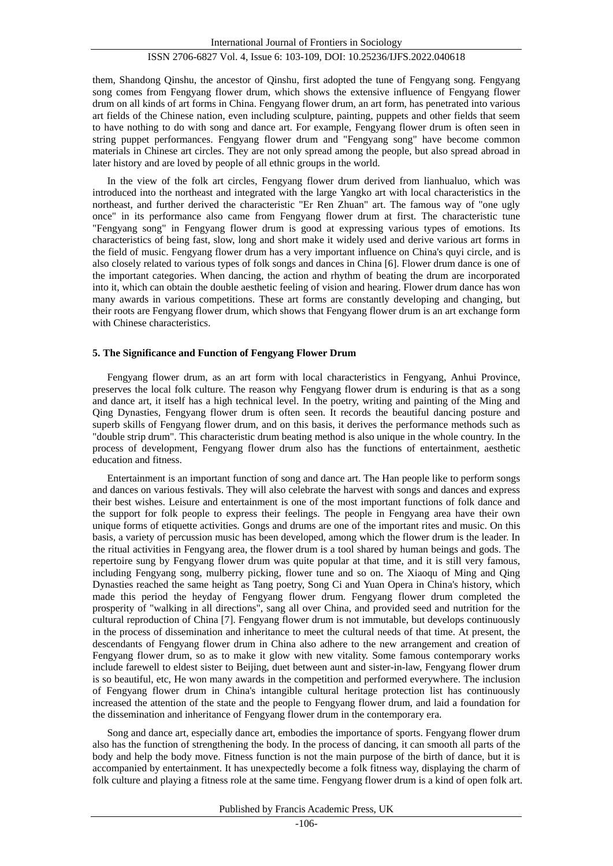them, Shandong Qinshu, the ancestor of Qinshu, first adopted the tune of Fengyang song. Fengyang song comes from Fengyang flower drum, which shows the extensive influence of Fengyang flower drum on all kinds of art forms in China. Fengyang flower drum, an art form, has penetrated into various art fields of the Chinese nation, even including sculpture, painting, puppets and other fields that seem to have nothing to do with song and dance art. For example, Fengyang flower drum is often seen in string puppet performances. Fengyang flower drum and "Fengyang song" have become common materials in Chinese art circles. They are not only spread among the people, but also spread abroad in later history and are loved by people of all ethnic groups in the world.

In the view of the folk art circles, Fengyang flower drum derived from lianhualuo, which was introduced into the northeast and integrated with the large Yangko art with local characteristics in the northeast, and further derived the characteristic "Er Ren Zhuan" art. The famous way of "one ugly once" in its performance also came from Fengyang flower drum at first. The characteristic tune "Fengyang song" in Fengyang flower drum is good at expressing various types of emotions. Its characteristics of being fast, slow, long and short make it widely used and derive various art forms in the field of music. Fengyang flower drum has a very important influence on China's quyi circle, and is also closely related to various types of folk songs and dances in China [6]. Flower drum dance is one of the important categories. When dancing, the action and rhythm of beating the drum are incorporated into it, which can obtain the double aesthetic feeling of vision and hearing. Flower drum dance has won many awards in various competitions. These art forms are constantly developing and changing, but their roots are Fengyang flower drum, which shows that Fengyang flower drum is an art exchange form with Chinese characteristics.

## **5. The Significance and Function of Fengyang Flower Drum**

Fengyang flower drum, as an art form with local characteristics in Fengyang, Anhui Province, preserves the local folk culture. The reason why Fengyang flower drum is enduring is that as a song and dance art, it itself has a high technical level. In the poetry, writing and painting of the Ming and Qing Dynasties, Fengyang flower drum is often seen. It records the beautiful dancing posture and superb skills of Fengyang flower drum, and on this basis, it derives the performance methods such as "double strip drum". This characteristic drum beating method is also unique in the whole country. In the process of development, Fengyang flower drum also has the functions of entertainment, aesthetic education and fitness.

Entertainment is an important function of song and dance art. The Han people like to perform songs and dances on various festivals. They will also celebrate the harvest with songs and dances and express their best wishes. Leisure and entertainment is one of the most important functions of folk dance and the support for folk people to express their feelings. The people in Fengyang area have their own unique forms of etiquette activities. Gongs and drums are one of the important rites and music. On this basis, a variety of percussion music has been developed, among which the flower drum is the leader. In the ritual activities in Fengyang area, the flower drum is a tool shared by human beings and gods. The repertoire sung by Fengyang flower drum was quite popular at that time, and it is still very famous, including Fengyang song, mulberry picking, flower tune and so on. The Xiaoqu of Ming and Qing Dynasties reached the same height as Tang poetry, Song Ci and Yuan Opera in China's history, which made this period the heyday of Fengyang flower drum. Fengyang flower drum completed the prosperity of "walking in all directions", sang all over China, and provided seed and nutrition for the cultural reproduction of China [7]. Fengyang flower drum is not immutable, but develops continuously in the process of dissemination and inheritance to meet the cultural needs of that time. At present, the descendants of Fengyang flower drum in China also adhere to the new arrangement and creation of Fengyang flower drum, so as to make it glow with new vitality. Some famous contemporary works include farewell to eldest sister to Beijing, duet between aunt and sister-in-law, Fengyang flower drum is so beautiful, etc, He won many awards in the competition and performed everywhere. The inclusion of Fengyang flower drum in China's intangible cultural heritage protection list has continuously increased the attention of the state and the people to Fengyang flower drum, and laid a foundation for the dissemination and inheritance of Fengyang flower drum in the contemporary era.

Song and dance art, especially dance art, embodies the importance of sports. Fengyang flower drum also has the function of strengthening the body. In the process of dancing, it can smooth all parts of the body and help the body move. Fitness function is not the main purpose of the birth of dance, but it is accompanied by entertainment. It has unexpectedly become a folk fitness way, displaying the charm of folk culture and playing a fitness role at the same time. Fengyang flower drum is a kind of open folk art.

Published by Francis Academic Press, UK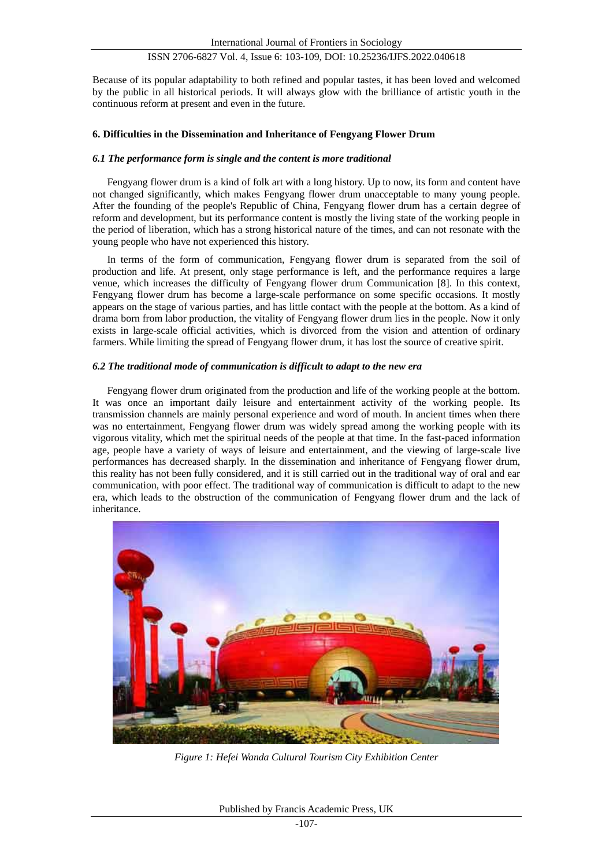Because of its popular adaptability to both refined and popular tastes, it has been loved and welcomed by the public in all historical periods. It will always glow with the brilliance of artistic youth in the continuous reform at present and even in the future.

# **6. Difficulties in the Dissemination and Inheritance of Fengyang Flower Drum**

## *6.1 The performance form is single and the content is more traditional*

Fengyang flower drum is a kind of folk art with a long history. Up to now, its form and content have not changed significantly, which makes Fengyang flower drum unacceptable to many young people. After the founding of the people's Republic of China, Fengyang flower drum has a certain degree of reform and development, but its performance content is mostly the living state of the working people in the period of liberation, which has a strong historical nature of the times, and can not resonate with the young people who have not experienced this history.

In terms of the form of communication, Fengyang flower drum is separated from the soil of production and life. At present, only stage performance is left, and the performance requires a large venue, which increases the difficulty of Fengyang flower drum Communication [8]. In this context, Fengyang flower drum has become a large-scale performance on some specific occasions. It mostly appears on the stage of various parties, and has little contact with the people at the bottom. As a kind of drama born from labor production, the vitality of Fengyang flower drum lies in the people. Now it only exists in large-scale official activities, which is divorced from the vision and attention of ordinary farmers. While limiting the spread of Fengyang flower drum, it has lost the source of creative spirit.

#### *6.2 The traditional mode of communication is difficult to adapt to the new era*

Fengyang flower drum originated from the production and life of the working people at the bottom. It was once an important daily leisure and entertainment activity of the working people. Its transmission channels are mainly personal experience and word of mouth. In ancient times when there was no entertainment, Fengyang flower drum was widely spread among the working people with its vigorous vitality, which met the spiritual needs of the people at that time. In the fast-paced information age, people have a variety of ways of leisure and entertainment, and the viewing of large-scale live performances has decreased sharply. In the dissemination and inheritance of Fengyang flower drum, this reality has not been fully considered, and it is still carried out in the traditional way of oral and ear communication, with poor effect. The traditional way of communication is difficult to adapt to the new era, which leads to the obstruction of the communication of Fengyang flower drum and the lack of inheritance.



*Figure 1: Hefei Wanda Cultural Tourism City Exhibition Center*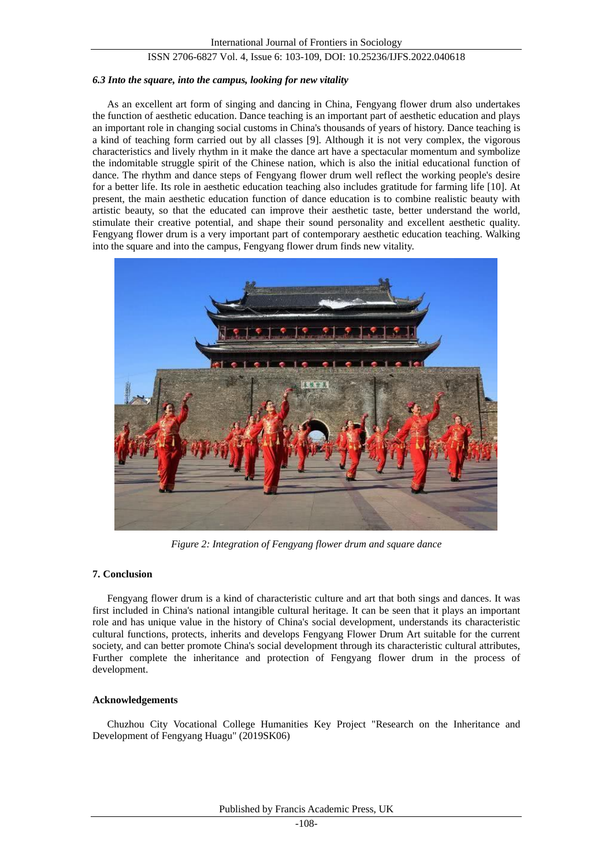#### *6.3 Into the square, into the campus, looking for new vitality*

As an excellent art form of singing and dancing in China, Fengyang flower drum also undertakes the function of aesthetic education. Dance teaching is an important part of aesthetic education and plays an important role in changing social customs in China's thousands of years of history. Dance teaching is a kind of teaching form carried out by all classes [9]. Although it is not very complex, the vigorous characteristics and lively rhythm in it make the dance art have a spectacular momentum and symbolize the indomitable struggle spirit of the Chinese nation, which is also the initial educational function of dance. The rhythm and dance steps of Fengyang flower drum well reflect the working people's desire for a better life. Its role in aesthetic education teaching also includes gratitude for farming life [10]. At present, the main aesthetic education function of dance education is to combine realistic beauty with artistic beauty, so that the educated can improve their aesthetic taste, better understand the world, stimulate their creative potential, and shape their sound personality and excellent aesthetic quality. Fengyang flower drum is a very important part of contemporary aesthetic education teaching. Walking into the square and into the campus, Fengyang flower drum finds new vitality.



*Figure 2: Integration of Fengyang flower drum and square dance*

# **7. Conclusion**

Fengyang flower drum is a kind of characteristic culture and art that both sings and dances. It was first included in China's national intangible cultural heritage. It can be seen that it plays an important role and has unique value in the history of China's social development, understands its characteristic cultural functions, protects, inherits and develops Fengyang Flower Drum Art suitable for the current society, and can better promote China's social development through its characteristic cultural attributes, Further complete the inheritance and protection of Fengyang flower drum in the process of development.

# **Acknowledgements**

Chuzhou City Vocational College Humanities Key Project "Research on the Inheritance and Development of Fengyang Huagu" (2019SK06)